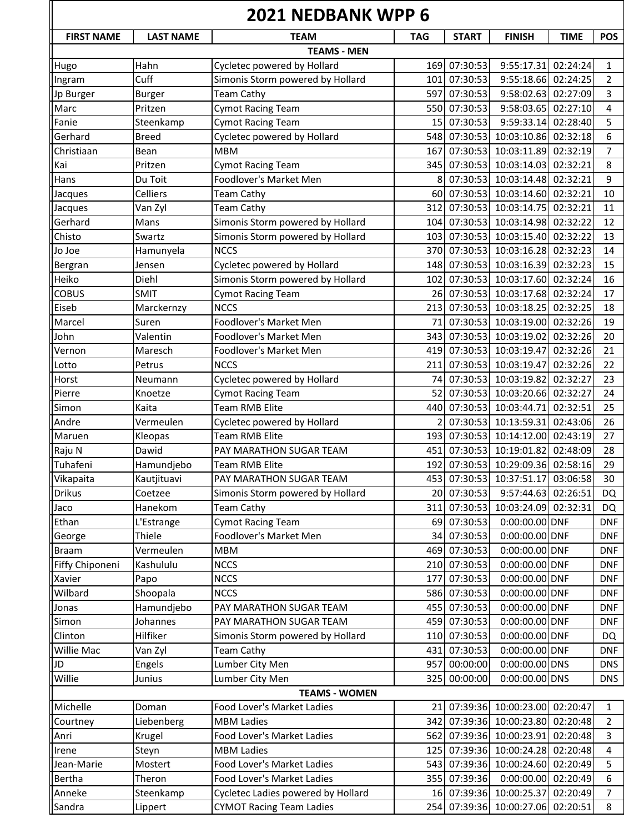| <b>LAST NAME</b><br><b>FIRST NAME</b><br><b>TEAM</b><br><b>TAG</b><br><b>START</b><br><b>FINISH</b><br><b>TIME</b><br><b>POS</b><br><b>TEAMS - MEN</b><br>Hahn<br>Cycletec powered by Hollard<br>07:30:53<br>9:55:17.31<br>02:24:24<br>169<br>1<br>07:30:53<br>Cuff<br>Simonis Storm powered by Hollard<br>9:55:18.66<br>02:24:25<br>101<br>$\overline{2}$<br>Ingram<br>Jp Burger<br>07:30:53<br>9:58:02.63<br>02:27:09<br>3<br><b>Team Cathy</b><br>597<br><b>Burger</b><br>Marc<br>07:30:53<br>9:58:03.65<br><b>Cymot Racing Team</b><br>550<br>02:27:10<br>4<br>Pritzen<br><b>Cymot Racing Team</b><br>07:30:53<br>9:59:33.14<br>02:28:40<br>5<br>Steenkamp<br>15<br>Cycletec powered by Hollard<br>07:30:53<br>10:03:10.86<br>Gerhard<br>548<br>02:32:18<br>6<br><b>Breed</b><br><b>MBM</b><br>07:30:53<br>10:03:11.89<br>02:32:19<br>Christiaan<br>Bean<br>167<br>7<br>Kai<br>07:30:53<br>10:03:14.03<br>8<br><b>Cymot Racing Team</b><br>345<br>02:32:21<br>Pritzen<br>Hans<br>Foodlover's Market Men<br>07:30:53 10:03:14.48<br>02:32:21<br>9<br>Du Toit<br>8<br>07:30:53 10:03:14.60<br>02:32:21<br>Celliers<br><b>Team Cathy</b><br>60I<br>10<br>Jacques<br>07:30:53<br>10:03:14.75<br>02:32:21<br><b>Team Cathy</b><br>312<br>11<br>Jacques<br>Van Zyl<br>Gerhard<br>Simonis Storm powered by Hollard<br>07:30:53<br>10:03:14.98<br>02:32:22<br>12<br>Mans<br>1041<br>Simonis Storm powered by Hollard<br>07:30:53 10:03:15.40<br>Chisto<br>Swartz<br>02:32:22<br>103 <sup>I</sup><br>13<br><b>NCCS</b><br>370 07:30:53 10:03:16.28<br>02:32:23<br>Jo Joe<br>Hamunyela<br>14<br>Cycletec powered by Hollard<br>07:30:53 10:03:16.39<br>02:32:23<br>Bergran<br>148<br>15<br>Jensen<br>Heiko<br>Simonis Storm powered by Hollard<br>07:30:53 10:03:17.60<br>02:32:24<br>16<br>Diehl<br>102<br><b>COBUS</b><br><b>SMIT</b><br>07:30:53<br>10:03:17.68<br>02:32:24<br><b>Cymot Racing Team</b><br>17<br>26I<br>Eiseb<br><b>NCCS</b><br>213<br>07:30:53 10:03:18.25<br>02:32:25<br>Marckernzy<br>18<br>Marcel<br>Foodlover's Market Men<br>07:30:53<br>10:03:19.00<br>02:32:26<br>19<br>Suren<br>71<br>Foodlover's Market Men<br>07:30:53<br>10:03:19.02<br>02:32:26<br>John<br>Valentin<br>3431<br>20<br>07:30:53<br>Foodlover's Market Men<br>10:03:19.47<br>02:32:26<br>21<br>419<br>Vernon<br>Maresch<br>07:30:53 10:03:19.47<br><b>NCCS</b><br>02:32:26<br>22<br>Lotto<br>Petrus<br>211<br>Horst<br>Cycletec powered by Hollard<br>07:30:53 10:03:19.82<br>02:32:27<br>23<br>74<br>Neumann<br>Pierre<br><b>Cymot Racing Team</b><br>07:30:53<br>10:03:20.66<br>02:32:27<br>52<br>24<br>Knoetze<br><b>Team RMB Elite</b><br>07:30:53 10:03:44.71<br>02:32:51<br>440<br>25<br>Simon<br>Kaita<br>Vermeulen<br>Cycletec powered by Hollard<br>07:30:53 10:13:59.31<br>02:43:06<br>Andre<br>26<br>Maruen<br><b>Team RMB Elite</b><br>07:30:53<br>10:14:12.00<br>02:43:19<br>27<br>193 <sup>I</sup><br>Kleopas<br>Raju N<br>Dawid<br>07:30:53<br>10:19:01.82<br>02:48:09<br>PAY MARATHON SUGAR TEAM<br>451<br>28<br>Tuhafeni<br>192 07:30:53 10:29:09.36 02:58:16<br>Hamundjebo<br>29<br><b>Team RMB Elite</b><br>Vikapaita<br>453 07:30:53 10:37:51.17 03:06:58<br>Kautjituavi<br>PAY MARATHON SUGAR TEAM<br>30<br>07:30:53<br>Simonis Storm powered by Hollard<br>9:57:44.63<br>02:26:51<br>Coetzee<br>20I<br>DQ<br>07:30:53<br>10:03:24.09<br>02:32:31<br>Hanekom<br><b>Team Cathy</b><br>311<br>DQ<br>07:30:53<br><b>Cymot Racing Team</b><br>$0:00:00.00$ DNF<br>L'Estrange<br><b>DNF</b><br>69 I<br>07:30:53<br>Thiele<br>Foodlover's Market Men<br>0:00:00.00 DNF<br><b>DNF</b><br>34<br>Vermeulen<br>07:30:53<br>0:00:00.00 DNF<br>MBM<br>469<br><b>DNF</b><br>Kashululu<br><b>NCCS</b><br>07:30:53<br>0:00:00.00 DNF<br>210<br><b>DNF</b><br>07:30:53<br><b>NCCS</b><br>0:00:00.00 DNF<br>Papo<br>177<br><b>DNF</b><br>Shoopala<br>07:30:53<br>0:00:00.00 DNF<br><b>NCCS</b><br>586<br><b>DNF</b><br>07:30:53<br>0:00:00.00 DNF<br>Hamundjebo<br>455<br><b>DNF</b><br>PAY MARATHON SUGAR TEAM<br>07:30:53<br>Johannes<br>PAY MARATHON SUGAR TEAM<br>0:00:00.00 DNF<br>459<br><b>DNF</b><br>110 07:30:53<br>$0:00:00.00$ DNF<br>Hilfiker<br>Simonis Storm powered by Hollard<br>DQ<br>0:00:00.00 DNF<br><b>Team Cathy</b><br>07:30:53<br>431<br><b>DNF</b><br>Van Zyl<br>0:00:00.00 DNS<br>Lumber City Men<br>957<br>00:00:00<br>Engels<br>DNS<br>00:00:00<br>Lumber City Men<br>0:00:00.00 DNS<br>Junius<br>325<br><b>DNS</b><br><b>TEAMS - WOMEN</b><br>Food Lover's Market Ladies<br>07:39:36<br>10:00:23.00<br>02:20:47<br>Doman<br>21<br>1<br>07:39:36<br>10:00:23.80<br>Liebenberg<br><b>MBM Ladies</b><br>342<br>02:20:48<br>$\overline{2}$<br>07:39:36<br>10:00:23.91<br>02:20:48<br>Krugel<br>Food Lover's Market Ladies<br>3<br>562<br><b>MBM Ladies</b><br>07:39:36<br>10:00:24.28<br>02:20:48<br>Steyn<br>125<br>4<br>Food Lover's Market Ladies<br>07:39:36<br>10:00:24.60<br>02:20:49<br>5<br>Jean-Marie<br>Mostert<br>543 l<br>Food Lover's Market Ladies<br>07:39:36<br>0:00:00.00<br>02:20:49<br>Bertha<br>Theron<br>6<br>355 <b>I</b><br>02:20:49<br>Steenkamp<br>Cycletec Ladies powered by Hollard<br>07:39:36<br>10:00:25.37<br>Anneke<br>$\overline{7}$<br>161<br>07:39:36<br>254 | <b>2021 NEDBANK WPP 6</b> |         |                                 |  |  |             |          |   |
|---------------------------------------------------------------------------------------------------------------------------------------------------------------------------------------------------------------------------------------------------------------------------------------------------------------------------------------------------------------------------------------------------------------------------------------------------------------------------------------------------------------------------------------------------------------------------------------------------------------------------------------------------------------------------------------------------------------------------------------------------------------------------------------------------------------------------------------------------------------------------------------------------------------------------------------------------------------------------------------------------------------------------------------------------------------------------------------------------------------------------------------------------------------------------------------------------------------------------------------------------------------------------------------------------------------------------------------------------------------------------------------------------------------------------------------------------------------------------------------------------------------------------------------------------------------------------------------------------------------------------------------------------------------------------------------------------------------------------------------------------------------------------------------------------------------------------------------------------------------------------------------------------------------------------------------------------------------------------------------------------------------------------------------------------------------------------------------------------------------------------------------------------------------------------------------------------------------------------------------------------------------------------------------------------------------------------------------------------------------------------------------------------------------------------------------------------------------------------------------------------------------------------------------------------------------------------------------------------------------------------------------------------------------------------------------------------------------------------------------------------------------------------------------------------------------------------------------------------------------------------------------------------------------------------------------------------------------------------------------------------------------------------------------------------------------------------------------------------------------------------------------------------------------------------------------------------------------------------------------------------------------------------------------------------------------------------------------------------------------------------------------------------------------------------------------------------------------------------------------------------------------------------------------------------------------------------------------------------------------------------------------------------------------------------------------------------------------------------------------------------------------------------------------------------------------------------------------------------------------------------------------------------------------------------------------------------------------------------------------------------------------------------------------------------------------------------------------------------------------------------------------------------------------------------------------------------------------------------------------------------------------------------------------------------------------------------------------------------------------------------------------------------------------------------------------------------------------------------------------------------------------------------------------------------------------------------------------------------------------------------------------------------------------------------------------------------------------------------------------------------------------------------------------------------------------------------------------------------------------------------------------------------------------------------------------------------------------------------------------------------------------------------------------------------------------------------------------------------------------------------------------------------------------------------------------------------------------------|---------------------------|---------|---------------------------------|--|--|-------------|----------|---|
|                                                                                                                                                                                                                                                                                                                                                                                                                                                                                                                                                                                                                                                                                                                                                                                                                                                                                                                                                                                                                                                                                                                                                                                                                                                                                                                                                                                                                                                                                                                                                                                                                                                                                                                                                                                                                                                                                                                                                                                                                                                                                                                                                                                                                                                                                                                                                                                                                                                                                                                                                                                                                                                                                                                                                                                                                                                                                                                                                                                                                                                                                                                                                                                                                                                                                                                                                                                                                                                                                                                                                                                                                                                                                                                                                                                                                                                                                                                                                                                                                                                                                                                                                                                                                                                                                                                                                                                                                                                                                                                                                                                                                                                                                                                                                                                                                                                                                                                                                                                                                                                                                                                                                                                                                     |                           |         |                                 |  |  |             |          |   |
|                                                                                                                                                                                                                                                                                                                                                                                                                                                                                                                                                                                                                                                                                                                                                                                                                                                                                                                                                                                                                                                                                                                                                                                                                                                                                                                                                                                                                                                                                                                                                                                                                                                                                                                                                                                                                                                                                                                                                                                                                                                                                                                                                                                                                                                                                                                                                                                                                                                                                                                                                                                                                                                                                                                                                                                                                                                                                                                                                                                                                                                                                                                                                                                                                                                                                                                                                                                                                                                                                                                                                                                                                                                                                                                                                                                                                                                                                                                                                                                                                                                                                                                                                                                                                                                                                                                                                                                                                                                                                                                                                                                                                                                                                                                                                                                                                                                                                                                                                                                                                                                                                                                                                                                                                     |                           |         |                                 |  |  |             |          |   |
|                                                                                                                                                                                                                                                                                                                                                                                                                                                                                                                                                                                                                                                                                                                                                                                                                                                                                                                                                                                                                                                                                                                                                                                                                                                                                                                                                                                                                                                                                                                                                                                                                                                                                                                                                                                                                                                                                                                                                                                                                                                                                                                                                                                                                                                                                                                                                                                                                                                                                                                                                                                                                                                                                                                                                                                                                                                                                                                                                                                                                                                                                                                                                                                                                                                                                                                                                                                                                                                                                                                                                                                                                                                                                                                                                                                                                                                                                                                                                                                                                                                                                                                                                                                                                                                                                                                                                                                                                                                                                                                                                                                                                                                                                                                                                                                                                                                                                                                                                                                                                                                                                                                                                                                                                     | Hugo                      |         |                                 |  |  |             |          |   |
|                                                                                                                                                                                                                                                                                                                                                                                                                                                                                                                                                                                                                                                                                                                                                                                                                                                                                                                                                                                                                                                                                                                                                                                                                                                                                                                                                                                                                                                                                                                                                                                                                                                                                                                                                                                                                                                                                                                                                                                                                                                                                                                                                                                                                                                                                                                                                                                                                                                                                                                                                                                                                                                                                                                                                                                                                                                                                                                                                                                                                                                                                                                                                                                                                                                                                                                                                                                                                                                                                                                                                                                                                                                                                                                                                                                                                                                                                                                                                                                                                                                                                                                                                                                                                                                                                                                                                                                                                                                                                                                                                                                                                                                                                                                                                                                                                                                                                                                                                                                                                                                                                                                                                                                                                     |                           |         |                                 |  |  |             |          |   |
|                                                                                                                                                                                                                                                                                                                                                                                                                                                                                                                                                                                                                                                                                                                                                                                                                                                                                                                                                                                                                                                                                                                                                                                                                                                                                                                                                                                                                                                                                                                                                                                                                                                                                                                                                                                                                                                                                                                                                                                                                                                                                                                                                                                                                                                                                                                                                                                                                                                                                                                                                                                                                                                                                                                                                                                                                                                                                                                                                                                                                                                                                                                                                                                                                                                                                                                                                                                                                                                                                                                                                                                                                                                                                                                                                                                                                                                                                                                                                                                                                                                                                                                                                                                                                                                                                                                                                                                                                                                                                                                                                                                                                                                                                                                                                                                                                                                                                                                                                                                                                                                                                                                                                                                                                     |                           |         |                                 |  |  |             |          |   |
|                                                                                                                                                                                                                                                                                                                                                                                                                                                                                                                                                                                                                                                                                                                                                                                                                                                                                                                                                                                                                                                                                                                                                                                                                                                                                                                                                                                                                                                                                                                                                                                                                                                                                                                                                                                                                                                                                                                                                                                                                                                                                                                                                                                                                                                                                                                                                                                                                                                                                                                                                                                                                                                                                                                                                                                                                                                                                                                                                                                                                                                                                                                                                                                                                                                                                                                                                                                                                                                                                                                                                                                                                                                                                                                                                                                                                                                                                                                                                                                                                                                                                                                                                                                                                                                                                                                                                                                                                                                                                                                                                                                                                                                                                                                                                                                                                                                                                                                                                                                                                                                                                                                                                                                                                     |                           |         |                                 |  |  |             |          |   |
|                                                                                                                                                                                                                                                                                                                                                                                                                                                                                                                                                                                                                                                                                                                                                                                                                                                                                                                                                                                                                                                                                                                                                                                                                                                                                                                                                                                                                                                                                                                                                                                                                                                                                                                                                                                                                                                                                                                                                                                                                                                                                                                                                                                                                                                                                                                                                                                                                                                                                                                                                                                                                                                                                                                                                                                                                                                                                                                                                                                                                                                                                                                                                                                                                                                                                                                                                                                                                                                                                                                                                                                                                                                                                                                                                                                                                                                                                                                                                                                                                                                                                                                                                                                                                                                                                                                                                                                                                                                                                                                                                                                                                                                                                                                                                                                                                                                                                                                                                                                                                                                                                                                                                                                                                     | Fanie                     |         |                                 |  |  |             |          |   |
|                                                                                                                                                                                                                                                                                                                                                                                                                                                                                                                                                                                                                                                                                                                                                                                                                                                                                                                                                                                                                                                                                                                                                                                                                                                                                                                                                                                                                                                                                                                                                                                                                                                                                                                                                                                                                                                                                                                                                                                                                                                                                                                                                                                                                                                                                                                                                                                                                                                                                                                                                                                                                                                                                                                                                                                                                                                                                                                                                                                                                                                                                                                                                                                                                                                                                                                                                                                                                                                                                                                                                                                                                                                                                                                                                                                                                                                                                                                                                                                                                                                                                                                                                                                                                                                                                                                                                                                                                                                                                                                                                                                                                                                                                                                                                                                                                                                                                                                                                                                                                                                                                                                                                                                                                     |                           |         |                                 |  |  |             |          |   |
|                                                                                                                                                                                                                                                                                                                                                                                                                                                                                                                                                                                                                                                                                                                                                                                                                                                                                                                                                                                                                                                                                                                                                                                                                                                                                                                                                                                                                                                                                                                                                                                                                                                                                                                                                                                                                                                                                                                                                                                                                                                                                                                                                                                                                                                                                                                                                                                                                                                                                                                                                                                                                                                                                                                                                                                                                                                                                                                                                                                                                                                                                                                                                                                                                                                                                                                                                                                                                                                                                                                                                                                                                                                                                                                                                                                                                                                                                                                                                                                                                                                                                                                                                                                                                                                                                                                                                                                                                                                                                                                                                                                                                                                                                                                                                                                                                                                                                                                                                                                                                                                                                                                                                                                                                     |                           |         |                                 |  |  |             |          |   |
|                                                                                                                                                                                                                                                                                                                                                                                                                                                                                                                                                                                                                                                                                                                                                                                                                                                                                                                                                                                                                                                                                                                                                                                                                                                                                                                                                                                                                                                                                                                                                                                                                                                                                                                                                                                                                                                                                                                                                                                                                                                                                                                                                                                                                                                                                                                                                                                                                                                                                                                                                                                                                                                                                                                                                                                                                                                                                                                                                                                                                                                                                                                                                                                                                                                                                                                                                                                                                                                                                                                                                                                                                                                                                                                                                                                                                                                                                                                                                                                                                                                                                                                                                                                                                                                                                                                                                                                                                                                                                                                                                                                                                                                                                                                                                                                                                                                                                                                                                                                                                                                                                                                                                                                                                     |                           |         |                                 |  |  |             |          |   |
|                                                                                                                                                                                                                                                                                                                                                                                                                                                                                                                                                                                                                                                                                                                                                                                                                                                                                                                                                                                                                                                                                                                                                                                                                                                                                                                                                                                                                                                                                                                                                                                                                                                                                                                                                                                                                                                                                                                                                                                                                                                                                                                                                                                                                                                                                                                                                                                                                                                                                                                                                                                                                                                                                                                                                                                                                                                                                                                                                                                                                                                                                                                                                                                                                                                                                                                                                                                                                                                                                                                                                                                                                                                                                                                                                                                                                                                                                                                                                                                                                                                                                                                                                                                                                                                                                                                                                                                                                                                                                                                                                                                                                                                                                                                                                                                                                                                                                                                                                                                                                                                                                                                                                                                                                     |                           |         |                                 |  |  |             |          |   |
|                                                                                                                                                                                                                                                                                                                                                                                                                                                                                                                                                                                                                                                                                                                                                                                                                                                                                                                                                                                                                                                                                                                                                                                                                                                                                                                                                                                                                                                                                                                                                                                                                                                                                                                                                                                                                                                                                                                                                                                                                                                                                                                                                                                                                                                                                                                                                                                                                                                                                                                                                                                                                                                                                                                                                                                                                                                                                                                                                                                                                                                                                                                                                                                                                                                                                                                                                                                                                                                                                                                                                                                                                                                                                                                                                                                                                                                                                                                                                                                                                                                                                                                                                                                                                                                                                                                                                                                                                                                                                                                                                                                                                                                                                                                                                                                                                                                                                                                                                                                                                                                                                                                                                                                                                     |                           |         |                                 |  |  |             |          |   |
|                                                                                                                                                                                                                                                                                                                                                                                                                                                                                                                                                                                                                                                                                                                                                                                                                                                                                                                                                                                                                                                                                                                                                                                                                                                                                                                                                                                                                                                                                                                                                                                                                                                                                                                                                                                                                                                                                                                                                                                                                                                                                                                                                                                                                                                                                                                                                                                                                                                                                                                                                                                                                                                                                                                                                                                                                                                                                                                                                                                                                                                                                                                                                                                                                                                                                                                                                                                                                                                                                                                                                                                                                                                                                                                                                                                                                                                                                                                                                                                                                                                                                                                                                                                                                                                                                                                                                                                                                                                                                                                                                                                                                                                                                                                                                                                                                                                                                                                                                                                                                                                                                                                                                                                                                     |                           |         |                                 |  |  |             |          |   |
|                                                                                                                                                                                                                                                                                                                                                                                                                                                                                                                                                                                                                                                                                                                                                                                                                                                                                                                                                                                                                                                                                                                                                                                                                                                                                                                                                                                                                                                                                                                                                                                                                                                                                                                                                                                                                                                                                                                                                                                                                                                                                                                                                                                                                                                                                                                                                                                                                                                                                                                                                                                                                                                                                                                                                                                                                                                                                                                                                                                                                                                                                                                                                                                                                                                                                                                                                                                                                                                                                                                                                                                                                                                                                                                                                                                                                                                                                                                                                                                                                                                                                                                                                                                                                                                                                                                                                                                                                                                                                                                                                                                                                                                                                                                                                                                                                                                                                                                                                                                                                                                                                                                                                                                                                     |                           |         |                                 |  |  |             |          |   |
|                                                                                                                                                                                                                                                                                                                                                                                                                                                                                                                                                                                                                                                                                                                                                                                                                                                                                                                                                                                                                                                                                                                                                                                                                                                                                                                                                                                                                                                                                                                                                                                                                                                                                                                                                                                                                                                                                                                                                                                                                                                                                                                                                                                                                                                                                                                                                                                                                                                                                                                                                                                                                                                                                                                                                                                                                                                                                                                                                                                                                                                                                                                                                                                                                                                                                                                                                                                                                                                                                                                                                                                                                                                                                                                                                                                                                                                                                                                                                                                                                                                                                                                                                                                                                                                                                                                                                                                                                                                                                                                                                                                                                                                                                                                                                                                                                                                                                                                                                                                                                                                                                                                                                                                                                     |                           |         |                                 |  |  |             |          |   |
|                                                                                                                                                                                                                                                                                                                                                                                                                                                                                                                                                                                                                                                                                                                                                                                                                                                                                                                                                                                                                                                                                                                                                                                                                                                                                                                                                                                                                                                                                                                                                                                                                                                                                                                                                                                                                                                                                                                                                                                                                                                                                                                                                                                                                                                                                                                                                                                                                                                                                                                                                                                                                                                                                                                                                                                                                                                                                                                                                                                                                                                                                                                                                                                                                                                                                                                                                                                                                                                                                                                                                                                                                                                                                                                                                                                                                                                                                                                                                                                                                                                                                                                                                                                                                                                                                                                                                                                                                                                                                                                                                                                                                                                                                                                                                                                                                                                                                                                                                                                                                                                                                                                                                                                                                     |                           |         |                                 |  |  |             |          |   |
|                                                                                                                                                                                                                                                                                                                                                                                                                                                                                                                                                                                                                                                                                                                                                                                                                                                                                                                                                                                                                                                                                                                                                                                                                                                                                                                                                                                                                                                                                                                                                                                                                                                                                                                                                                                                                                                                                                                                                                                                                                                                                                                                                                                                                                                                                                                                                                                                                                                                                                                                                                                                                                                                                                                                                                                                                                                                                                                                                                                                                                                                                                                                                                                                                                                                                                                                                                                                                                                                                                                                                                                                                                                                                                                                                                                                                                                                                                                                                                                                                                                                                                                                                                                                                                                                                                                                                                                                                                                                                                                                                                                                                                                                                                                                                                                                                                                                                                                                                                                                                                                                                                                                                                                                                     |                           |         |                                 |  |  |             |          |   |
|                                                                                                                                                                                                                                                                                                                                                                                                                                                                                                                                                                                                                                                                                                                                                                                                                                                                                                                                                                                                                                                                                                                                                                                                                                                                                                                                                                                                                                                                                                                                                                                                                                                                                                                                                                                                                                                                                                                                                                                                                                                                                                                                                                                                                                                                                                                                                                                                                                                                                                                                                                                                                                                                                                                                                                                                                                                                                                                                                                                                                                                                                                                                                                                                                                                                                                                                                                                                                                                                                                                                                                                                                                                                                                                                                                                                                                                                                                                                                                                                                                                                                                                                                                                                                                                                                                                                                                                                                                                                                                                                                                                                                                                                                                                                                                                                                                                                                                                                                                                                                                                                                                                                                                                                                     |                           |         |                                 |  |  |             |          |   |
|                                                                                                                                                                                                                                                                                                                                                                                                                                                                                                                                                                                                                                                                                                                                                                                                                                                                                                                                                                                                                                                                                                                                                                                                                                                                                                                                                                                                                                                                                                                                                                                                                                                                                                                                                                                                                                                                                                                                                                                                                                                                                                                                                                                                                                                                                                                                                                                                                                                                                                                                                                                                                                                                                                                                                                                                                                                                                                                                                                                                                                                                                                                                                                                                                                                                                                                                                                                                                                                                                                                                                                                                                                                                                                                                                                                                                                                                                                                                                                                                                                                                                                                                                                                                                                                                                                                                                                                                                                                                                                                                                                                                                                                                                                                                                                                                                                                                                                                                                                                                                                                                                                                                                                                                                     |                           |         |                                 |  |  |             |          |   |
|                                                                                                                                                                                                                                                                                                                                                                                                                                                                                                                                                                                                                                                                                                                                                                                                                                                                                                                                                                                                                                                                                                                                                                                                                                                                                                                                                                                                                                                                                                                                                                                                                                                                                                                                                                                                                                                                                                                                                                                                                                                                                                                                                                                                                                                                                                                                                                                                                                                                                                                                                                                                                                                                                                                                                                                                                                                                                                                                                                                                                                                                                                                                                                                                                                                                                                                                                                                                                                                                                                                                                                                                                                                                                                                                                                                                                                                                                                                                                                                                                                                                                                                                                                                                                                                                                                                                                                                                                                                                                                                                                                                                                                                                                                                                                                                                                                                                                                                                                                                                                                                                                                                                                                                                                     |                           |         |                                 |  |  |             |          |   |
|                                                                                                                                                                                                                                                                                                                                                                                                                                                                                                                                                                                                                                                                                                                                                                                                                                                                                                                                                                                                                                                                                                                                                                                                                                                                                                                                                                                                                                                                                                                                                                                                                                                                                                                                                                                                                                                                                                                                                                                                                                                                                                                                                                                                                                                                                                                                                                                                                                                                                                                                                                                                                                                                                                                                                                                                                                                                                                                                                                                                                                                                                                                                                                                                                                                                                                                                                                                                                                                                                                                                                                                                                                                                                                                                                                                                                                                                                                                                                                                                                                                                                                                                                                                                                                                                                                                                                                                                                                                                                                                                                                                                                                                                                                                                                                                                                                                                                                                                                                                                                                                                                                                                                                                                                     |                           |         |                                 |  |  |             |          |   |
|                                                                                                                                                                                                                                                                                                                                                                                                                                                                                                                                                                                                                                                                                                                                                                                                                                                                                                                                                                                                                                                                                                                                                                                                                                                                                                                                                                                                                                                                                                                                                                                                                                                                                                                                                                                                                                                                                                                                                                                                                                                                                                                                                                                                                                                                                                                                                                                                                                                                                                                                                                                                                                                                                                                                                                                                                                                                                                                                                                                                                                                                                                                                                                                                                                                                                                                                                                                                                                                                                                                                                                                                                                                                                                                                                                                                                                                                                                                                                                                                                                                                                                                                                                                                                                                                                                                                                                                                                                                                                                                                                                                                                                                                                                                                                                                                                                                                                                                                                                                                                                                                                                                                                                                                                     |                           |         |                                 |  |  |             |          |   |
|                                                                                                                                                                                                                                                                                                                                                                                                                                                                                                                                                                                                                                                                                                                                                                                                                                                                                                                                                                                                                                                                                                                                                                                                                                                                                                                                                                                                                                                                                                                                                                                                                                                                                                                                                                                                                                                                                                                                                                                                                                                                                                                                                                                                                                                                                                                                                                                                                                                                                                                                                                                                                                                                                                                                                                                                                                                                                                                                                                                                                                                                                                                                                                                                                                                                                                                                                                                                                                                                                                                                                                                                                                                                                                                                                                                                                                                                                                                                                                                                                                                                                                                                                                                                                                                                                                                                                                                                                                                                                                                                                                                                                                                                                                                                                                                                                                                                                                                                                                                                                                                                                                                                                                                                                     |                           |         |                                 |  |  |             |          |   |
|                                                                                                                                                                                                                                                                                                                                                                                                                                                                                                                                                                                                                                                                                                                                                                                                                                                                                                                                                                                                                                                                                                                                                                                                                                                                                                                                                                                                                                                                                                                                                                                                                                                                                                                                                                                                                                                                                                                                                                                                                                                                                                                                                                                                                                                                                                                                                                                                                                                                                                                                                                                                                                                                                                                                                                                                                                                                                                                                                                                                                                                                                                                                                                                                                                                                                                                                                                                                                                                                                                                                                                                                                                                                                                                                                                                                                                                                                                                                                                                                                                                                                                                                                                                                                                                                                                                                                                                                                                                                                                                                                                                                                                                                                                                                                                                                                                                                                                                                                                                                                                                                                                                                                                                                                     |                           |         |                                 |  |  |             |          |   |
|                                                                                                                                                                                                                                                                                                                                                                                                                                                                                                                                                                                                                                                                                                                                                                                                                                                                                                                                                                                                                                                                                                                                                                                                                                                                                                                                                                                                                                                                                                                                                                                                                                                                                                                                                                                                                                                                                                                                                                                                                                                                                                                                                                                                                                                                                                                                                                                                                                                                                                                                                                                                                                                                                                                                                                                                                                                                                                                                                                                                                                                                                                                                                                                                                                                                                                                                                                                                                                                                                                                                                                                                                                                                                                                                                                                                                                                                                                                                                                                                                                                                                                                                                                                                                                                                                                                                                                                                                                                                                                                                                                                                                                                                                                                                                                                                                                                                                                                                                                                                                                                                                                                                                                                                                     |                           |         |                                 |  |  |             |          |   |
|                                                                                                                                                                                                                                                                                                                                                                                                                                                                                                                                                                                                                                                                                                                                                                                                                                                                                                                                                                                                                                                                                                                                                                                                                                                                                                                                                                                                                                                                                                                                                                                                                                                                                                                                                                                                                                                                                                                                                                                                                                                                                                                                                                                                                                                                                                                                                                                                                                                                                                                                                                                                                                                                                                                                                                                                                                                                                                                                                                                                                                                                                                                                                                                                                                                                                                                                                                                                                                                                                                                                                                                                                                                                                                                                                                                                                                                                                                                                                                                                                                                                                                                                                                                                                                                                                                                                                                                                                                                                                                                                                                                                                                                                                                                                                                                                                                                                                                                                                                                                                                                                                                                                                                                                                     |                           |         |                                 |  |  |             |          |   |
|                                                                                                                                                                                                                                                                                                                                                                                                                                                                                                                                                                                                                                                                                                                                                                                                                                                                                                                                                                                                                                                                                                                                                                                                                                                                                                                                                                                                                                                                                                                                                                                                                                                                                                                                                                                                                                                                                                                                                                                                                                                                                                                                                                                                                                                                                                                                                                                                                                                                                                                                                                                                                                                                                                                                                                                                                                                                                                                                                                                                                                                                                                                                                                                                                                                                                                                                                                                                                                                                                                                                                                                                                                                                                                                                                                                                                                                                                                                                                                                                                                                                                                                                                                                                                                                                                                                                                                                                                                                                                                                                                                                                                                                                                                                                                                                                                                                                                                                                                                                                                                                                                                                                                                                                                     |                           |         |                                 |  |  |             |          |   |
|                                                                                                                                                                                                                                                                                                                                                                                                                                                                                                                                                                                                                                                                                                                                                                                                                                                                                                                                                                                                                                                                                                                                                                                                                                                                                                                                                                                                                                                                                                                                                                                                                                                                                                                                                                                                                                                                                                                                                                                                                                                                                                                                                                                                                                                                                                                                                                                                                                                                                                                                                                                                                                                                                                                                                                                                                                                                                                                                                                                                                                                                                                                                                                                                                                                                                                                                                                                                                                                                                                                                                                                                                                                                                                                                                                                                                                                                                                                                                                                                                                                                                                                                                                                                                                                                                                                                                                                                                                                                                                                                                                                                                                                                                                                                                                                                                                                                                                                                                                                                                                                                                                                                                                                                                     |                           |         |                                 |  |  |             |          |   |
|                                                                                                                                                                                                                                                                                                                                                                                                                                                                                                                                                                                                                                                                                                                                                                                                                                                                                                                                                                                                                                                                                                                                                                                                                                                                                                                                                                                                                                                                                                                                                                                                                                                                                                                                                                                                                                                                                                                                                                                                                                                                                                                                                                                                                                                                                                                                                                                                                                                                                                                                                                                                                                                                                                                                                                                                                                                                                                                                                                                                                                                                                                                                                                                                                                                                                                                                                                                                                                                                                                                                                                                                                                                                                                                                                                                                                                                                                                                                                                                                                                                                                                                                                                                                                                                                                                                                                                                                                                                                                                                                                                                                                                                                                                                                                                                                                                                                                                                                                                                                                                                                                                                                                                                                                     |                           |         |                                 |  |  |             |          |   |
|                                                                                                                                                                                                                                                                                                                                                                                                                                                                                                                                                                                                                                                                                                                                                                                                                                                                                                                                                                                                                                                                                                                                                                                                                                                                                                                                                                                                                                                                                                                                                                                                                                                                                                                                                                                                                                                                                                                                                                                                                                                                                                                                                                                                                                                                                                                                                                                                                                                                                                                                                                                                                                                                                                                                                                                                                                                                                                                                                                                                                                                                                                                                                                                                                                                                                                                                                                                                                                                                                                                                                                                                                                                                                                                                                                                                                                                                                                                                                                                                                                                                                                                                                                                                                                                                                                                                                                                                                                                                                                                                                                                                                                                                                                                                                                                                                                                                                                                                                                                                                                                                                                                                                                                                                     |                           |         |                                 |  |  |             |          |   |
|                                                                                                                                                                                                                                                                                                                                                                                                                                                                                                                                                                                                                                                                                                                                                                                                                                                                                                                                                                                                                                                                                                                                                                                                                                                                                                                                                                                                                                                                                                                                                                                                                                                                                                                                                                                                                                                                                                                                                                                                                                                                                                                                                                                                                                                                                                                                                                                                                                                                                                                                                                                                                                                                                                                                                                                                                                                                                                                                                                                                                                                                                                                                                                                                                                                                                                                                                                                                                                                                                                                                                                                                                                                                                                                                                                                                                                                                                                                                                                                                                                                                                                                                                                                                                                                                                                                                                                                                                                                                                                                                                                                                                                                                                                                                                                                                                                                                                                                                                                                                                                                                                                                                                                                                                     |                           |         |                                 |  |  |             |          |   |
|                                                                                                                                                                                                                                                                                                                                                                                                                                                                                                                                                                                                                                                                                                                                                                                                                                                                                                                                                                                                                                                                                                                                                                                                                                                                                                                                                                                                                                                                                                                                                                                                                                                                                                                                                                                                                                                                                                                                                                                                                                                                                                                                                                                                                                                                                                                                                                                                                                                                                                                                                                                                                                                                                                                                                                                                                                                                                                                                                                                                                                                                                                                                                                                                                                                                                                                                                                                                                                                                                                                                                                                                                                                                                                                                                                                                                                                                                                                                                                                                                                                                                                                                                                                                                                                                                                                                                                                                                                                                                                                                                                                                                                                                                                                                                                                                                                                                                                                                                                                                                                                                                                                                                                                                                     |                           |         |                                 |  |  |             |          |   |
|                                                                                                                                                                                                                                                                                                                                                                                                                                                                                                                                                                                                                                                                                                                                                                                                                                                                                                                                                                                                                                                                                                                                                                                                                                                                                                                                                                                                                                                                                                                                                                                                                                                                                                                                                                                                                                                                                                                                                                                                                                                                                                                                                                                                                                                                                                                                                                                                                                                                                                                                                                                                                                                                                                                                                                                                                                                                                                                                                                                                                                                                                                                                                                                                                                                                                                                                                                                                                                                                                                                                                                                                                                                                                                                                                                                                                                                                                                                                                                                                                                                                                                                                                                                                                                                                                                                                                                                                                                                                                                                                                                                                                                                                                                                                                                                                                                                                                                                                                                                                                                                                                                                                                                                                                     |                           |         |                                 |  |  |             |          |   |
|                                                                                                                                                                                                                                                                                                                                                                                                                                                                                                                                                                                                                                                                                                                                                                                                                                                                                                                                                                                                                                                                                                                                                                                                                                                                                                                                                                                                                                                                                                                                                                                                                                                                                                                                                                                                                                                                                                                                                                                                                                                                                                                                                                                                                                                                                                                                                                                                                                                                                                                                                                                                                                                                                                                                                                                                                                                                                                                                                                                                                                                                                                                                                                                                                                                                                                                                                                                                                                                                                                                                                                                                                                                                                                                                                                                                                                                                                                                                                                                                                                                                                                                                                                                                                                                                                                                                                                                                                                                                                                                                                                                                                                                                                                                                                                                                                                                                                                                                                                                                                                                                                                                                                                                                                     | Drikus                    |         |                                 |  |  |             |          |   |
|                                                                                                                                                                                                                                                                                                                                                                                                                                                                                                                                                                                                                                                                                                                                                                                                                                                                                                                                                                                                                                                                                                                                                                                                                                                                                                                                                                                                                                                                                                                                                                                                                                                                                                                                                                                                                                                                                                                                                                                                                                                                                                                                                                                                                                                                                                                                                                                                                                                                                                                                                                                                                                                                                                                                                                                                                                                                                                                                                                                                                                                                                                                                                                                                                                                                                                                                                                                                                                                                                                                                                                                                                                                                                                                                                                                                                                                                                                                                                                                                                                                                                                                                                                                                                                                                                                                                                                                                                                                                                                                                                                                                                                                                                                                                                                                                                                                                                                                                                                                                                                                                                                                                                                                                                     | Jaco                      |         |                                 |  |  |             |          |   |
|                                                                                                                                                                                                                                                                                                                                                                                                                                                                                                                                                                                                                                                                                                                                                                                                                                                                                                                                                                                                                                                                                                                                                                                                                                                                                                                                                                                                                                                                                                                                                                                                                                                                                                                                                                                                                                                                                                                                                                                                                                                                                                                                                                                                                                                                                                                                                                                                                                                                                                                                                                                                                                                                                                                                                                                                                                                                                                                                                                                                                                                                                                                                                                                                                                                                                                                                                                                                                                                                                                                                                                                                                                                                                                                                                                                                                                                                                                                                                                                                                                                                                                                                                                                                                                                                                                                                                                                                                                                                                                                                                                                                                                                                                                                                                                                                                                                                                                                                                                                                                                                                                                                                                                                                                     | Ethan                     |         |                                 |  |  |             |          |   |
|                                                                                                                                                                                                                                                                                                                                                                                                                                                                                                                                                                                                                                                                                                                                                                                                                                                                                                                                                                                                                                                                                                                                                                                                                                                                                                                                                                                                                                                                                                                                                                                                                                                                                                                                                                                                                                                                                                                                                                                                                                                                                                                                                                                                                                                                                                                                                                                                                                                                                                                                                                                                                                                                                                                                                                                                                                                                                                                                                                                                                                                                                                                                                                                                                                                                                                                                                                                                                                                                                                                                                                                                                                                                                                                                                                                                                                                                                                                                                                                                                                                                                                                                                                                                                                                                                                                                                                                                                                                                                                                                                                                                                                                                                                                                                                                                                                                                                                                                                                                                                                                                                                                                                                                                                     | George                    |         |                                 |  |  |             |          |   |
|                                                                                                                                                                                                                                                                                                                                                                                                                                                                                                                                                                                                                                                                                                                                                                                                                                                                                                                                                                                                                                                                                                                                                                                                                                                                                                                                                                                                                                                                                                                                                                                                                                                                                                                                                                                                                                                                                                                                                                                                                                                                                                                                                                                                                                                                                                                                                                                                                                                                                                                                                                                                                                                                                                                                                                                                                                                                                                                                                                                                                                                                                                                                                                                                                                                                                                                                                                                                                                                                                                                                                                                                                                                                                                                                                                                                                                                                                                                                                                                                                                                                                                                                                                                                                                                                                                                                                                                                                                                                                                                                                                                                                                                                                                                                                                                                                                                                                                                                                                                                                                                                                                                                                                                                                     | <b>Braam</b>              |         |                                 |  |  |             |          |   |
|                                                                                                                                                                                                                                                                                                                                                                                                                                                                                                                                                                                                                                                                                                                                                                                                                                                                                                                                                                                                                                                                                                                                                                                                                                                                                                                                                                                                                                                                                                                                                                                                                                                                                                                                                                                                                                                                                                                                                                                                                                                                                                                                                                                                                                                                                                                                                                                                                                                                                                                                                                                                                                                                                                                                                                                                                                                                                                                                                                                                                                                                                                                                                                                                                                                                                                                                                                                                                                                                                                                                                                                                                                                                                                                                                                                                                                                                                                                                                                                                                                                                                                                                                                                                                                                                                                                                                                                                                                                                                                                                                                                                                                                                                                                                                                                                                                                                                                                                                                                                                                                                                                                                                                                                                     | Fiffy Chiponeni           |         |                                 |  |  |             |          |   |
|                                                                                                                                                                                                                                                                                                                                                                                                                                                                                                                                                                                                                                                                                                                                                                                                                                                                                                                                                                                                                                                                                                                                                                                                                                                                                                                                                                                                                                                                                                                                                                                                                                                                                                                                                                                                                                                                                                                                                                                                                                                                                                                                                                                                                                                                                                                                                                                                                                                                                                                                                                                                                                                                                                                                                                                                                                                                                                                                                                                                                                                                                                                                                                                                                                                                                                                                                                                                                                                                                                                                                                                                                                                                                                                                                                                                                                                                                                                                                                                                                                                                                                                                                                                                                                                                                                                                                                                                                                                                                                                                                                                                                                                                                                                                                                                                                                                                                                                                                                                                                                                                                                                                                                                                                     | Xavier                    |         |                                 |  |  |             |          |   |
|                                                                                                                                                                                                                                                                                                                                                                                                                                                                                                                                                                                                                                                                                                                                                                                                                                                                                                                                                                                                                                                                                                                                                                                                                                                                                                                                                                                                                                                                                                                                                                                                                                                                                                                                                                                                                                                                                                                                                                                                                                                                                                                                                                                                                                                                                                                                                                                                                                                                                                                                                                                                                                                                                                                                                                                                                                                                                                                                                                                                                                                                                                                                                                                                                                                                                                                                                                                                                                                                                                                                                                                                                                                                                                                                                                                                                                                                                                                                                                                                                                                                                                                                                                                                                                                                                                                                                                                                                                                                                                                                                                                                                                                                                                                                                                                                                                                                                                                                                                                                                                                                                                                                                                                                                     | Wilbard                   |         |                                 |  |  |             |          |   |
|                                                                                                                                                                                                                                                                                                                                                                                                                                                                                                                                                                                                                                                                                                                                                                                                                                                                                                                                                                                                                                                                                                                                                                                                                                                                                                                                                                                                                                                                                                                                                                                                                                                                                                                                                                                                                                                                                                                                                                                                                                                                                                                                                                                                                                                                                                                                                                                                                                                                                                                                                                                                                                                                                                                                                                                                                                                                                                                                                                                                                                                                                                                                                                                                                                                                                                                                                                                                                                                                                                                                                                                                                                                                                                                                                                                                                                                                                                                                                                                                                                                                                                                                                                                                                                                                                                                                                                                                                                                                                                                                                                                                                                                                                                                                                                                                                                                                                                                                                                                                                                                                                                                                                                                                                     | Jonas                     |         |                                 |  |  |             |          |   |
|                                                                                                                                                                                                                                                                                                                                                                                                                                                                                                                                                                                                                                                                                                                                                                                                                                                                                                                                                                                                                                                                                                                                                                                                                                                                                                                                                                                                                                                                                                                                                                                                                                                                                                                                                                                                                                                                                                                                                                                                                                                                                                                                                                                                                                                                                                                                                                                                                                                                                                                                                                                                                                                                                                                                                                                                                                                                                                                                                                                                                                                                                                                                                                                                                                                                                                                                                                                                                                                                                                                                                                                                                                                                                                                                                                                                                                                                                                                                                                                                                                                                                                                                                                                                                                                                                                                                                                                                                                                                                                                                                                                                                                                                                                                                                                                                                                                                                                                                                                                                                                                                                                                                                                                                                     | Simon                     |         |                                 |  |  |             |          |   |
|                                                                                                                                                                                                                                                                                                                                                                                                                                                                                                                                                                                                                                                                                                                                                                                                                                                                                                                                                                                                                                                                                                                                                                                                                                                                                                                                                                                                                                                                                                                                                                                                                                                                                                                                                                                                                                                                                                                                                                                                                                                                                                                                                                                                                                                                                                                                                                                                                                                                                                                                                                                                                                                                                                                                                                                                                                                                                                                                                                                                                                                                                                                                                                                                                                                                                                                                                                                                                                                                                                                                                                                                                                                                                                                                                                                                                                                                                                                                                                                                                                                                                                                                                                                                                                                                                                                                                                                                                                                                                                                                                                                                                                                                                                                                                                                                                                                                                                                                                                                                                                                                                                                                                                                                                     | <b>Clinton</b>            |         |                                 |  |  |             |          |   |
|                                                                                                                                                                                                                                                                                                                                                                                                                                                                                                                                                                                                                                                                                                                                                                                                                                                                                                                                                                                                                                                                                                                                                                                                                                                                                                                                                                                                                                                                                                                                                                                                                                                                                                                                                                                                                                                                                                                                                                                                                                                                                                                                                                                                                                                                                                                                                                                                                                                                                                                                                                                                                                                                                                                                                                                                                                                                                                                                                                                                                                                                                                                                                                                                                                                                                                                                                                                                                                                                                                                                                                                                                                                                                                                                                                                                                                                                                                                                                                                                                                                                                                                                                                                                                                                                                                                                                                                                                                                                                                                                                                                                                                                                                                                                                                                                                                                                                                                                                                                                                                                                                                                                                                                                                     | <b>Willie Mac</b>         |         |                                 |  |  |             |          |   |
|                                                                                                                                                                                                                                                                                                                                                                                                                                                                                                                                                                                                                                                                                                                                                                                                                                                                                                                                                                                                                                                                                                                                                                                                                                                                                                                                                                                                                                                                                                                                                                                                                                                                                                                                                                                                                                                                                                                                                                                                                                                                                                                                                                                                                                                                                                                                                                                                                                                                                                                                                                                                                                                                                                                                                                                                                                                                                                                                                                                                                                                                                                                                                                                                                                                                                                                                                                                                                                                                                                                                                                                                                                                                                                                                                                                                                                                                                                                                                                                                                                                                                                                                                                                                                                                                                                                                                                                                                                                                                                                                                                                                                                                                                                                                                                                                                                                                                                                                                                                                                                                                                                                                                                                                                     | JD                        |         |                                 |  |  |             |          |   |
|                                                                                                                                                                                                                                                                                                                                                                                                                                                                                                                                                                                                                                                                                                                                                                                                                                                                                                                                                                                                                                                                                                                                                                                                                                                                                                                                                                                                                                                                                                                                                                                                                                                                                                                                                                                                                                                                                                                                                                                                                                                                                                                                                                                                                                                                                                                                                                                                                                                                                                                                                                                                                                                                                                                                                                                                                                                                                                                                                                                                                                                                                                                                                                                                                                                                                                                                                                                                                                                                                                                                                                                                                                                                                                                                                                                                                                                                                                                                                                                                                                                                                                                                                                                                                                                                                                                                                                                                                                                                                                                                                                                                                                                                                                                                                                                                                                                                                                                                                                                                                                                                                                                                                                                                                     | Willie                    |         |                                 |  |  |             |          |   |
|                                                                                                                                                                                                                                                                                                                                                                                                                                                                                                                                                                                                                                                                                                                                                                                                                                                                                                                                                                                                                                                                                                                                                                                                                                                                                                                                                                                                                                                                                                                                                                                                                                                                                                                                                                                                                                                                                                                                                                                                                                                                                                                                                                                                                                                                                                                                                                                                                                                                                                                                                                                                                                                                                                                                                                                                                                                                                                                                                                                                                                                                                                                                                                                                                                                                                                                                                                                                                                                                                                                                                                                                                                                                                                                                                                                                                                                                                                                                                                                                                                                                                                                                                                                                                                                                                                                                                                                                                                                                                                                                                                                                                                                                                                                                                                                                                                                                                                                                                                                                                                                                                                                                                                                                                     |                           |         |                                 |  |  |             |          |   |
|                                                                                                                                                                                                                                                                                                                                                                                                                                                                                                                                                                                                                                                                                                                                                                                                                                                                                                                                                                                                                                                                                                                                                                                                                                                                                                                                                                                                                                                                                                                                                                                                                                                                                                                                                                                                                                                                                                                                                                                                                                                                                                                                                                                                                                                                                                                                                                                                                                                                                                                                                                                                                                                                                                                                                                                                                                                                                                                                                                                                                                                                                                                                                                                                                                                                                                                                                                                                                                                                                                                                                                                                                                                                                                                                                                                                                                                                                                                                                                                                                                                                                                                                                                                                                                                                                                                                                                                                                                                                                                                                                                                                                                                                                                                                                                                                                                                                                                                                                                                                                                                                                                                                                                                                                     | Michelle                  |         |                                 |  |  |             |          |   |
|                                                                                                                                                                                                                                                                                                                                                                                                                                                                                                                                                                                                                                                                                                                                                                                                                                                                                                                                                                                                                                                                                                                                                                                                                                                                                                                                                                                                                                                                                                                                                                                                                                                                                                                                                                                                                                                                                                                                                                                                                                                                                                                                                                                                                                                                                                                                                                                                                                                                                                                                                                                                                                                                                                                                                                                                                                                                                                                                                                                                                                                                                                                                                                                                                                                                                                                                                                                                                                                                                                                                                                                                                                                                                                                                                                                                                                                                                                                                                                                                                                                                                                                                                                                                                                                                                                                                                                                                                                                                                                                                                                                                                                                                                                                                                                                                                                                                                                                                                                                                                                                                                                                                                                                                                     | Courtney                  |         |                                 |  |  |             |          |   |
|                                                                                                                                                                                                                                                                                                                                                                                                                                                                                                                                                                                                                                                                                                                                                                                                                                                                                                                                                                                                                                                                                                                                                                                                                                                                                                                                                                                                                                                                                                                                                                                                                                                                                                                                                                                                                                                                                                                                                                                                                                                                                                                                                                                                                                                                                                                                                                                                                                                                                                                                                                                                                                                                                                                                                                                                                                                                                                                                                                                                                                                                                                                                                                                                                                                                                                                                                                                                                                                                                                                                                                                                                                                                                                                                                                                                                                                                                                                                                                                                                                                                                                                                                                                                                                                                                                                                                                                                                                                                                                                                                                                                                                                                                                                                                                                                                                                                                                                                                                                                                                                                                                                                                                                                                     | Anri                      |         |                                 |  |  |             |          |   |
|                                                                                                                                                                                                                                                                                                                                                                                                                                                                                                                                                                                                                                                                                                                                                                                                                                                                                                                                                                                                                                                                                                                                                                                                                                                                                                                                                                                                                                                                                                                                                                                                                                                                                                                                                                                                                                                                                                                                                                                                                                                                                                                                                                                                                                                                                                                                                                                                                                                                                                                                                                                                                                                                                                                                                                                                                                                                                                                                                                                                                                                                                                                                                                                                                                                                                                                                                                                                                                                                                                                                                                                                                                                                                                                                                                                                                                                                                                                                                                                                                                                                                                                                                                                                                                                                                                                                                                                                                                                                                                                                                                                                                                                                                                                                                                                                                                                                                                                                                                                                                                                                                                                                                                                                                     | <b>I</b> rene             |         |                                 |  |  |             |          |   |
|                                                                                                                                                                                                                                                                                                                                                                                                                                                                                                                                                                                                                                                                                                                                                                                                                                                                                                                                                                                                                                                                                                                                                                                                                                                                                                                                                                                                                                                                                                                                                                                                                                                                                                                                                                                                                                                                                                                                                                                                                                                                                                                                                                                                                                                                                                                                                                                                                                                                                                                                                                                                                                                                                                                                                                                                                                                                                                                                                                                                                                                                                                                                                                                                                                                                                                                                                                                                                                                                                                                                                                                                                                                                                                                                                                                                                                                                                                                                                                                                                                                                                                                                                                                                                                                                                                                                                                                                                                                                                                                                                                                                                                                                                                                                                                                                                                                                                                                                                                                                                                                                                                                                                                                                                     |                           |         |                                 |  |  |             |          |   |
|                                                                                                                                                                                                                                                                                                                                                                                                                                                                                                                                                                                                                                                                                                                                                                                                                                                                                                                                                                                                                                                                                                                                                                                                                                                                                                                                                                                                                                                                                                                                                                                                                                                                                                                                                                                                                                                                                                                                                                                                                                                                                                                                                                                                                                                                                                                                                                                                                                                                                                                                                                                                                                                                                                                                                                                                                                                                                                                                                                                                                                                                                                                                                                                                                                                                                                                                                                                                                                                                                                                                                                                                                                                                                                                                                                                                                                                                                                                                                                                                                                                                                                                                                                                                                                                                                                                                                                                                                                                                                                                                                                                                                                                                                                                                                                                                                                                                                                                                                                                                                                                                                                                                                                                                                     |                           |         |                                 |  |  |             |          |   |
|                                                                                                                                                                                                                                                                                                                                                                                                                                                                                                                                                                                                                                                                                                                                                                                                                                                                                                                                                                                                                                                                                                                                                                                                                                                                                                                                                                                                                                                                                                                                                                                                                                                                                                                                                                                                                                                                                                                                                                                                                                                                                                                                                                                                                                                                                                                                                                                                                                                                                                                                                                                                                                                                                                                                                                                                                                                                                                                                                                                                                                                                                                                                                                                                                                                                                                                                                                                                                                                                                                                                                                                                                                                                                                                                                                                                                                                                                                                                                                                                                                                                                                                                                                                                                                                                                                                                                                                                                                                                                                                                                                                                                                                                                                                                                                                                                                                                                                                                                                                                                                                                                                                                                                                                                     |                           |         |                                 |  |  |             |          |   |
|                                                                                                                                                                                                                                                                                                                                                                                                                                                                                                                                                                                                                                                                                                                                                                                                                                                                                                                                                                                                                                                                                                                                                                                                                                                                                                                                                                                                                                                                                                                                                                                                                                                                                                                                                                                                                                                                                                                                                                                                                                                                                                                                                                                                                                                                                                                                                                                                                                                                                                                                                                                                                                                                                                                                                                                                                                                                                                                                                                                                                                                                                                                                                                                                                                                                                                                                                                                                                                                                                                                                                                                                                                                                                                                                                                                                                                                                                                                                                                                                                                                                                                                                                                                                                                                                                                                                                                                                                                                                                                                                                                                                                                                                                                                                                                                                                                                                                                                                                                                                                                                                                                                                                                                                                     | Sandra                    | Lippert | <b>CYMOT Racing Team Ladies</b> |  |  | 10:00:27.06 | 02:20:51 | 8 |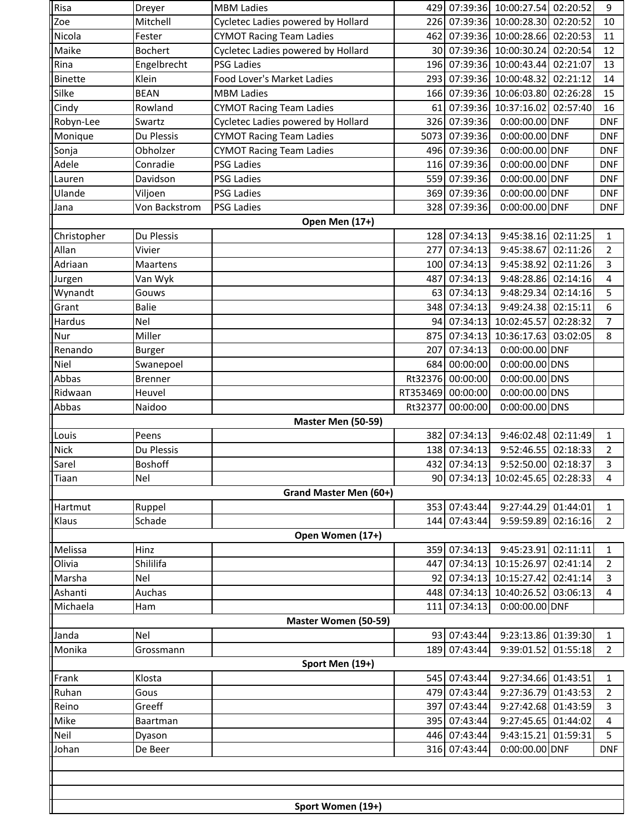| Risa           | Dreyer            | <b>MBM Ladies</b>                  |                 |                       | 429 07:39:36 10:00:27.54 02:20:52 |          | 9              |  |
|----------------|-------------------|------------------------------------|-----------------|-----------------------|-----------------------------------|----------|----------------|--|
| Zoe            | Mitchell          | Cycletec Ladies powered by Hollard | 226             |                       | 07:39:36 10:00:28.30 02:20:52     |          | 10             |  |
| Nicola         | Fester            | <b>CYMOT Racing Team Ladies</b>    | 462             |                       | 07:39:36 10:00:28.66              | 02:20:53 | 11             |  |
| Maike          | <b>Bochert</b>    | Cycletec Ladies powered by Hollard |                 |                       | 30 07:39:36 10:00:30.24           | 02:20:54 | 12             |  |
| Rina           | Engelbrecht       | <b>PSG Ladies</b>                  | 196             |                       | 07:39:36 10:00:43.44              | 02:21:07 | 13             |  |
| <b>Binette</b> | Klein             | Food Lover's Market Ladies         | 293             | 07:39:36              | 10:00:48.32                       | 02:21:12 | 14             |  |
| Silke          | <b>BEAN</b>       | <b>MBM Ladies</b>                  | 166             | 07:39:36              | 10:06:03.80                       | 02:26:28 | 15             |  |
| Cindy          | Rowland           | <b>CYMOT Racing Team Ladies</b>    | 61              | 07:39:36              | 10:37:16.02                       | 02:57:40 | 16             |  |
| Robyn-Lee      | Swartz            | Cycletec Ladies powered by Hollard |                 | 326 07:39:36          | 0:00:00.00 DNF                    |          | <b>DNF</b>     |  |
| Monique        | Du Plessis        | <b>CYMOT Racing Team Ladies</b>    | 5073            | 07:39:36              | 0:00:00.00 DNF                    |          | <b>DNF</b>     |  |
| Sonja          | Obholzer          | <b>CYMOT Racing Team Ladies</b>    | 496             | 07:39:36              | 0:00:00.00 DNF                    |          | <b>DNF</b>     |  |
| Adele          | Conradie          | <b>PSG Ladies</b>                  |                 | 116 07:39:36          | 0:00:00.00 DNF                    |          | <b>DNF</b>     |  |
| Lauren         | Davidson          | <b>PSG Ladies</b>                  | 559             | 07:39:36              | 0:00:00.00 DNF                    |          | <b>DNF</b>     |  |
| Ulande         | Viljoen           | <b>PSG Ladies</b>                  | 369             | 07:39:36              | 0:00:00.00 DNF                    |          | <b>DNF</b>     |  |
| Jana           | Von Backstrom     | <b>PSG Ladies</b>                  |                 | 328 07:39:36          | 0:00:00.00 DNF                    |          | <b>DNF</b>     |  |
|                |                   | Open Men (17+)                     |                 |                       |                                   |          |                |  |
| Christopher    | Du Plessis        |                                    | 128             | 07:34:13              | 9:45:38.16 02:11:25               |          | $\mathbf{1}$   |  |
| Allan          | Vivier            |                                    | 277             | 07:34:13              | 9:45:38.67                        | 02:11:26 | $\overline{2}$ |  |
| Adriaan        | Maartens          |                                    | 100             | 07:34:13              | 9:45:38.92                        | 02:11:26 | 3              |  |
| Jurgen         | Van Wyk           |                                    | 487             | 07:34:13              | 9:48:28.86 02:14:16               |          | 4              |  |
| Wynandt        | Gouws             |                                    | 63              | 07:34:13              | 9:48:29.34                        | 02:14:16 | 5              |  |
| Grant          | <b>Balie</b>      |                                    | 348             | 07:34:13              | 9:49:24.38                        | 02:15:11 | 6              |  |
| Hardus         | Nel               |                                    | 94              | 07:34:13              | 10:02:45.57                       | 02:28:32 | 7              |  |
| Nur            | Miller            |                                    | 875             | $\overline{07:}34:13$ | 10:36:17.63                       | 03:02:05 | 8              |  |
| Renando        | <b>Burger</b>     |                                    | 207             | 07:34:13              | 0:00:00.00 DNF                    |          |                |  |
| Niel           | Swanepoel         |                                    | 684             | 00:00:00              | 0:00:00.00 DNS                    |          |                |  |
| Abbas          | <b>Brenner</b>    |                                    | Rt32376         | 00:00:00              | 0:00:00.00 DNS                    |          |                |  |
| Ridwaan        | Heuvel            |                                    | RT353469        | 00:00:00              | 0:00:00.00 DNS                    |          |                |  |
| Abbas          | Naidoo            |                                    | Rt32377         | 00:00:00              | 0:00:00.00 DNS                    |          |                |  |
|                |                   | Master Men (50-59)                 |                 |                       |                                   |          |                |  |
| Louis          | Peens             |                                    | 382             | 07:34:13              | 9:46:02.48 02:11:49               |          | 1              |  |
| Nick           | Du Plessis        |                                    | 138             | 07:34:13              | 9:52:46.55 02:18:33               |          | $\overline{2}$ |  |
| Sarel          | Boshoff           |                                    | 432             | 07:34:13              | 9:52:50.00 02:18:37               |          | 3              |  |
| <b>ITiaan</b>  | Nel               |                                    |                 |                       | 90 07:34:13 10:02:45.65 02:28:33  |          | 4              |  |
|                |                   | Grand Master Men (60+)             |                 |                       |                                   |          |                |  |
| Hartmut        | Ruppel            |                                    |                 | 353 07:43:44          | 9:27:44.29 01:44:01               |          | 1              |  |
| Klaus          | Schade            |                                    |                 | 144 07:43:44          | 9:59:59.89                        | 02:16:16 | $\overline{2}$ |  |
|                |                   | Open Women (17+)                   |                 |                       |                                   |          |                |  |
| Melissa        | Hinz              |                                    | 359             | 07:34:13              | 9:45:23.91                        | 02:11:11 | 1              |  |
| Olivia         | Shililifa         |                                    | 447             | 07:34:13              | 10:15:26.97                       | 02:41:14 | 2              |  |
| Marsha         | Nel               |                                    | 92 <sub>l</sub> | 07:34:13              | 10:15:27.42                       | 02:41:14 | 3              |  |
| Ashanti        | Auchas            |                                    | 448             | 07:34:13              | 10:40:26.52                       | 03:06:13 | 4              |  |
| Michaela       | Ham               |                                    | 111             | 07:34:13              | 0:00:00.00 DNF                    |          |                |  |
|                |                   | Master Women (50-59)               |                 |                       |                                   |          |                |  |
| Janda          | Nel               |                                    |                 | 93 07:43:44           | 9:23:13.86 01:39:30               |          | 1              |  |
| Monika         | Grossmann         |                                    | 189             | 07:43:44              | 9:39:01.52                        | 01:55:18 | $\overline{2}$ |  |
|                |                   | Sport Men (19+)                    |                 |                       |                                   |          |                |  |
| Frank          | Klosta            |                                    | 545             | 07:43:44              | 9:27:34.66 01:43:51               |          | 1              |  |
| Ruhan          | Gous              |                                    | 479             | 07:43:44              | 9:27:36.79                        | 01:43:53 | 2              |  |
| Reino          | Greeff            |                                    | 397             | 07:43:44              | 9:27:42.68 01:43:59               |          | 3              |  |
| Mike           | Baartman          |                                    | 395             | 07:43:44              | 9:27:45.65 01:44:02               |          | 4              |  |
| Neil           | Dyason            |                                    | 446             | 07:43:44              | 9:43:15.21 01:59:31               |          | 5              |  |
| Johan          | De Beer           |                                    |                 | 316 07:43:44          | 0:00:00.00 DNF                    |          | DNF            |  |
|                |                   |                                    |                 |                       |                                   |          |                |  |
|                |                   |                                    |                 |                       |                                   |          |                |  |
|                |                   |                                    |                 |                       |                                   |          |                |  |
|                | Sport Women (19+) |                                    |                 |                       |                                   |          |                |  |